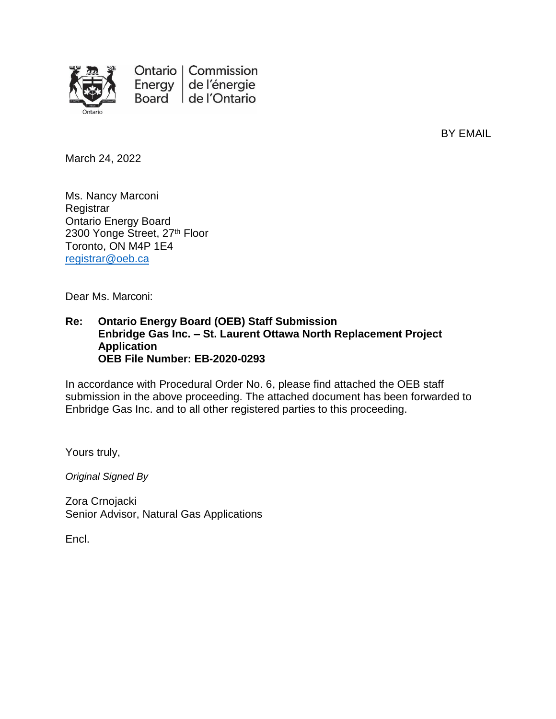

BY EMAIL

March 24, 2022

Ms. Nancy Marconi **Registrar** Ontario Energy Board 2300 Yonge Street, 27<sup>th</sup> Floor Toronto, ON M4P 1E4 [registrar@oeb.ca](mailto:registrar@oeb.ca)

Dear Ms. Marconi:

#### **Re: Ontario Energy Board (OEB) Staff Submission Enbridge Gas Inc. – St. Laurent Ottawa North Replacement Project Application OEB File Number: EB-2020-0293**

In accordance with Procedural Order No. 6, please find attached the OEB staff submission in the above proceeding. The attached document has been forwarded to Enbridge Gas Inc. and to all other registered parties to this proceeding.

Yours truly,

*Original Signed By*

Zora Crnojacki Senior Advisor, Natural Gas Applications

Encl.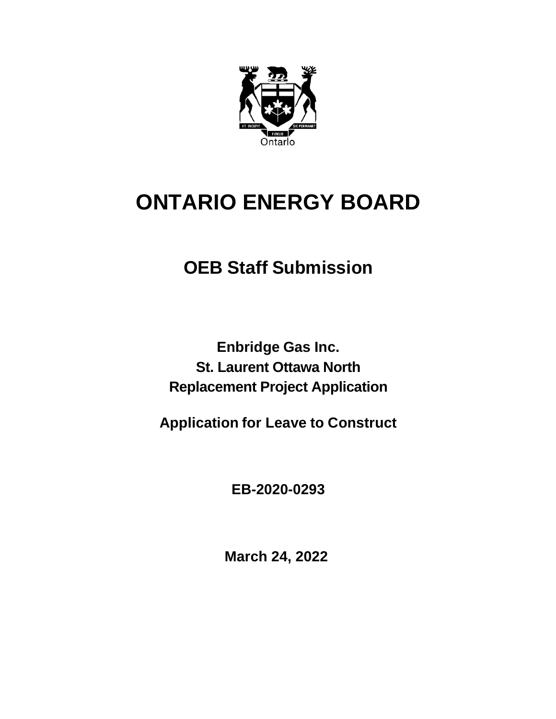

# **ONTARIO ENERGY BOARD**

## **OEB Staff Submission**

**Enbridge Gas Inc. St. Laurent Ottawa North Replacement Project Application** 

**Application for Leave to Construct**

**EB-2020-0293**

**March 24, 2022**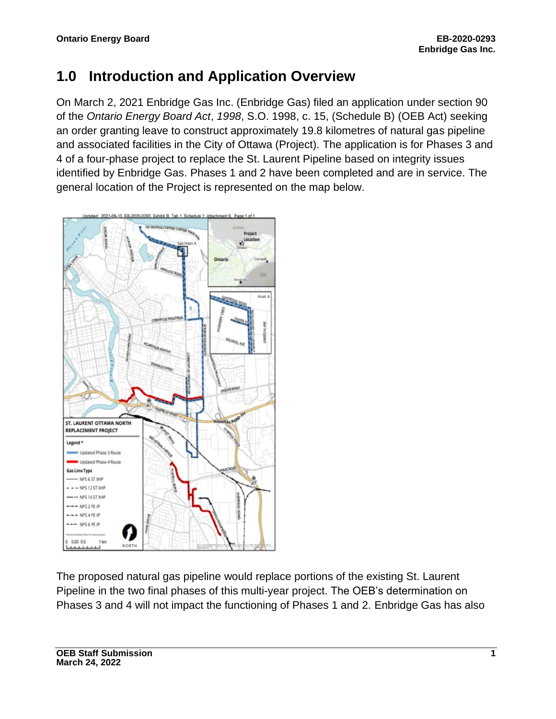### **1.0 Introduction and Application Overview**

On March 2, 2021 Enbridge Gas Inc. (Enbridge Gas) filed an application under section 90 of the *Ontario Energy Board Act*, *1998*, S.O. 1998, c. 15, (Schedule B) (OEB Act) seeking an order granting leave to construct approximately 19.8 kilometres of natural gas pipeline and associated facilities in the City of Ottawa (Project). The application is for Phases 3 and 4 of a four-phase project to replace the St. Laurent Pipeline based on integrity issues identified by Enbridge Gas. Phases 1 and 2 have been completed and are in service. The general location of the Project is represented on the map below.



The proposed natural gas pipeline would replace portions of the existing St. Laurent Pipeline in the two final phases of this multi-year project. The OEB's determination on Phases 3 and 4 will not impact the functioning of Phases 1 and 2. Enbridge Gas has also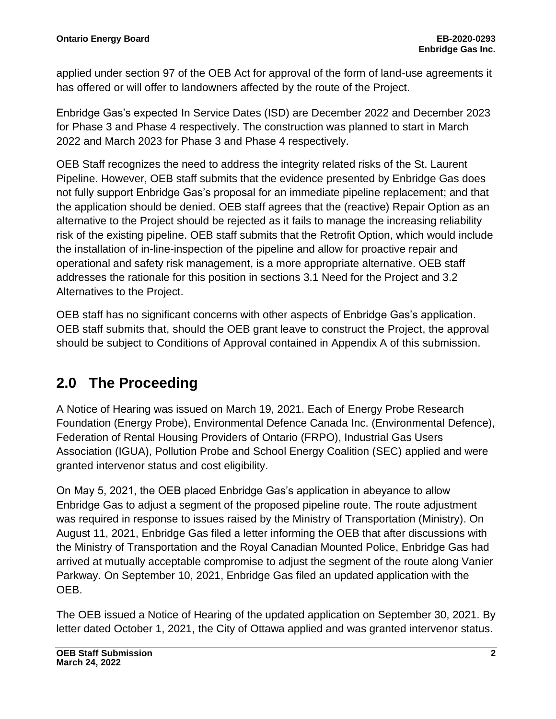applied under section 97 of the OEB Act for approval of the form of land-use agreements it has offered or will offer to landowners affected by the route of the Project.

Enbridge Gas's expected In Service Dates (ISD) are December 2022 and December 2023 for Phase 3 and Phase 4 respectively. The construction was planned to start in March 2022 and March 2023 for Phase 3 and Phase 4 respectively.

OEB Staff recognizes the need to address the integrity related risks of the St. Laurent Pipeline. However, OEB staff submits that the evidence presented by Enbridge Gas does not fully support Enbridge Gas's proposal for an immediate pipeline replacement; and that the application should be denied. OEB staff agrees that the (reactive) Repair Option as an alternative to the Project should be rejected as it fails to manage the increasing reliability risk of the existing pipeline. OEB staff submits that the Retrofit Option, which would include the installation of in-line-inspection of the pipeline and allow for proactive repair and operational and safety risk management, is a more appropriate alternative. OEB staff addresses the rationale for this position in sections 3.1 Need for the Project and 3.2 Alternatives to the Project.

OEB staff has no significant concerns with other aspects of Enbridge Gas's application. OEB staff submits that, should the OEB grant leave to construct the Project, the approval should be subject to Conditions of Approval contained in Appendix A of this submission.

### **2.0 The Proceeding**

A Notice of Hearing was issued on March 19, 2021. Each of Energy Probe Research Foundation (Energy Probe), Environmental Defence Canada Inc. (Environmental Defence), Federation of Rental Housing Providers of Ontario (FRPO), Industrial Gas Users Association (IGUA), Pollution Probe and School Energy Coalition (SEC) applied and were granted intervenor status and cost eligibility.

On May 5, 2021, the OEB placed Enbridge Gas's application in abeyance to allow Enbridge Gas to adjust a segment of the proposed pipeline route. The route adjustment was required in response to issues raised by the Ministry of Transportation (Ministry). On August 11, 2021, Enbridge Gas filed a letter informing the OEB that after discussions with the Ministry of Transportation and the Royal Canadian Mounted Police, Enbridge Gas had arrived at mutually acceptable compromise to adjust the segment of the route along Vanier Parkway. On September 10, 2021, Enbridge Gas filed an updated application with the OEB.

The OEB issued a Notice of Hearing of the updated application on September 30, 2021. By letter dated October 1, 2021, the City of Ottawa applied and was granted intervenor status.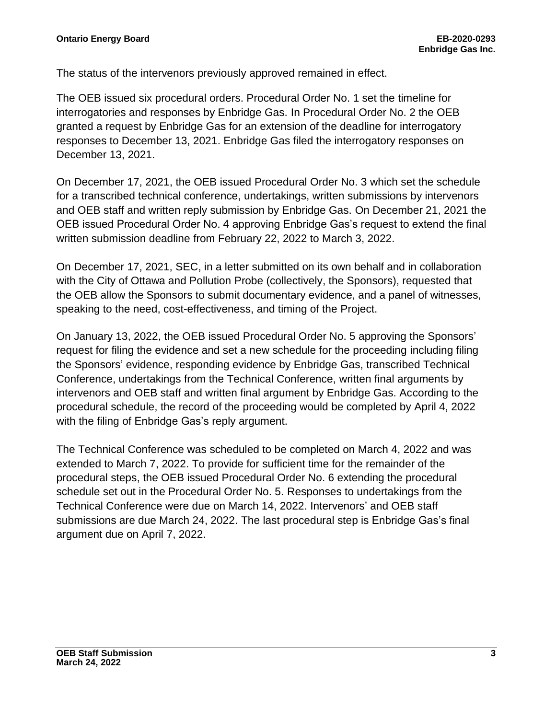The status of the intervenors previously approved remained in effect.

The OEB issued six procedural orders. Procedural Order No. 1 set the timeline for interrogatories and responses by Enbridge Gas. In Procedural Order No. 2 the OEB granted a request by Enbridge Gas for an extension of the deadline for interrogatory responses to December 13, 2021. Enbridge Gas filed the interrogatory responses on December 13, 2021.

On December 17, 2021, the OEB issued Procedural Order No. 3 which set the schedule for a transcribed technical conference, undertakings, written submissions by intervenors and OEB staff and written reply submission by Enbridge Gas. On December 21, 2021 the OEB issued Procedural Order No. 4 approving Enbridge Gas's request to extend the final written submission deadline from February 22, 2022 to March 3, 2022.

On December 17, 2021, SEC, in a letter submitted on its own behalf and in collaboration with the City of Ottawa and Pollution Probe (collectively, the Sponsors), requested that the OEB allow the Sponsors to submit documentary evidence, and a panel of witnesses, speaking to the need, cost-effectiveness, and timing of the Project.

On January 13, 2022, the OEB issued Procedural Order No. 5 approving the Sponsors' request for filing the evidence and set a new schedule for the proceeding including filing the Sponsors' evidence, responding evidence by Enbridge Gas, transcribed Technical Conference, undertakings from the Technical Conference, written final arguments by intervenors and OEB staff and written final argument by Enbridge Gas. According to the procedural schedule, the record of the proceeding would be completed by April 4, 2022 with the filing of Enbridge Gas's reply argument.

The Technical Conference was scheduled to be completed on March 4, 2022 and was extended to March 7, 2022. To provide for sufficient time for the remainder of the procedural steps, the OEB issued Procedural Order No. 6 extending the procedural schedule set out in the Procedural Order No. 5. Responses to undertakings from the Technical Conference were due on March 14, 2022. Intervenors' and OEB staff submissions are due March 24, 2022. The last procedural step is Enbridge Gas's final argument due on April 7, 2022.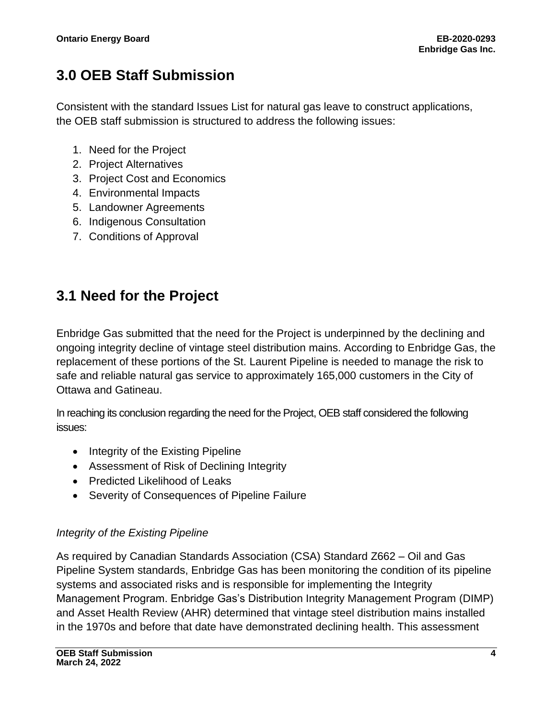### **3.0 OEB Staff Submission**

Consistent with the standard Issues List for natural gas leave to construct applications, the OEB staff submission is structured to address the following issues:

- 1. Need for the Project
- 2. Project Alternatives
- 3. Project Cost and Economics
- 4. Environmental Impacts
- 5. Landowner Agreements
- 6. Indigenous Consultation
- 7. Conditions of Approval

### **3.1 Need for the Project**

Enbridge Gas submitted that the need for the Project is underpinned by the declining and ongoing integrity decline of vintage steel distribution mains. According to Enbridge Gas, the replacement of these portions of the St. Laurent Pipeline is needed to manage the risk to safe and reliable natural gas service to approximately 165,000 customers in the City of Ottawa and Gatineau.

In reaching its conclusion regarding the need for the Project, OEB staff considered the following issues:

- Integrity of the Existing Pipeline
- Assessment of Risk of Declining Integrity
- Predicted Likelihood of Leaks
- Severity of Consequences of Pipeline Failure

#### *Integrity of the Existing Pipeline*

As required by Canadian Standards Association (CSA) Standard Z662 – Oil and Gas Pipeline System standards, Enbridge Gas has been monitoring the condition of its pipeline systems and associated risks and is responsible for implementing the Integrity Management Program. Enbridge Gas's Distribution Integrity Management Program (DIMP) and Asset Health Review (AHR) determined that vintage steel distribution mains installed in the 1970s and before that date have demonstrated declining health. This assessment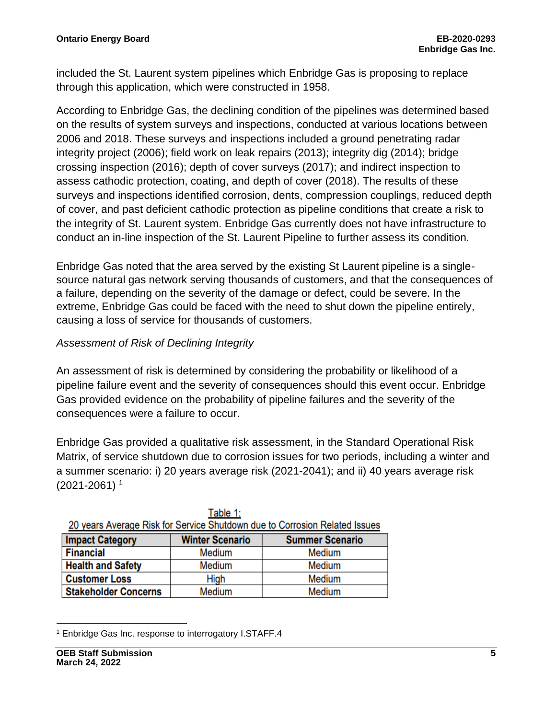included the St. Laurent system pipelines which Enbridge Gas is proposing to replace through this application, which were constructed in 1958.

According to Enbridge Gas, the declining condition of the pipelines was determined based on the results of system surveys and inspections, conducted at various locations between 2006 and 2018. These surveys and inspections included a ground penetrating radar integrity project (2006); field work on leak repairs (2013); integrity dig (2014); bridge crossing inspection (2016); depth of cover surveys (2017); and indirect inspection to assess cathodic protection, coating, and depth of cover (2018). The results of these surveys and inspections identified corrosion, dents, compression couplings, reduced depth of cover, and past deficient cathodic protection as pipeline conditions that create a risk to the integrity of St. Laurent system. Enbridge Gas currently does not have infrastructure to conduct an in-line inspection of the St. Laurent Pipeline to further assess its condition.

Enbridge Gas noted that the area served by the existing St Laurent pipeline is a singlesource natural gas network serving thousands of customers, and that the consequences of a failure, depending on the severity of the damage or defect, could be severe. In the extreme, Enbridge Gas could be faced with the need to shut down the pipeline entirely, causing a loss of service for thousands of customers.

#### *Assessment of Risk of Declining Integrity*

An assessment of risk is determined by considering the probability or likelihood of a pipeline failure event and the severity of consequences should this event occur. Enbridge Gas provided evidence on the probability of pipeline failures and the severity of the consequences were a failure to occur.

Enbridge Gas provided a qualitative risk assessment, in the Standard Operational Risk Matrix, of service shutdown due to corrosion issues for two periods, including a winter and a summer scenario: i) 20 years average risk (2021-2041); and ii) 40 years average risk  $(2021 - 2061)^1$ 

| 20 years Average Risk for Service Shutdown due to Corrosion Related Issues |                                                  |        |  |
|----------------------------------------------------------------------------|--------------------------------------------------|--------|--|
| <b>Impact Category</b>                                                     | <b>Winter Scenario</b><br><b>Summer Scenario</b> |        |  |
| <b>Financial</b>                                                           | Medium                                           | Medium |  |
| <b>Health and Safety</b>                                                   | Medium                                           | Medium |  |
| <b>Customer Loss</b>                                                       | High                                             | Medium |  |
| <b>Stakeholder Concerns</b>                                                | Medium                                           | Medium |  |

| Table 1:                                                                   |
|----------------------------------------------------------------------------|
| 20 years Average Risk for Service Shutdown due to Corrosion Related Issues |

<sup>1</sup> Enbridge Gas Inc. response to interrogatory I.STAFF.4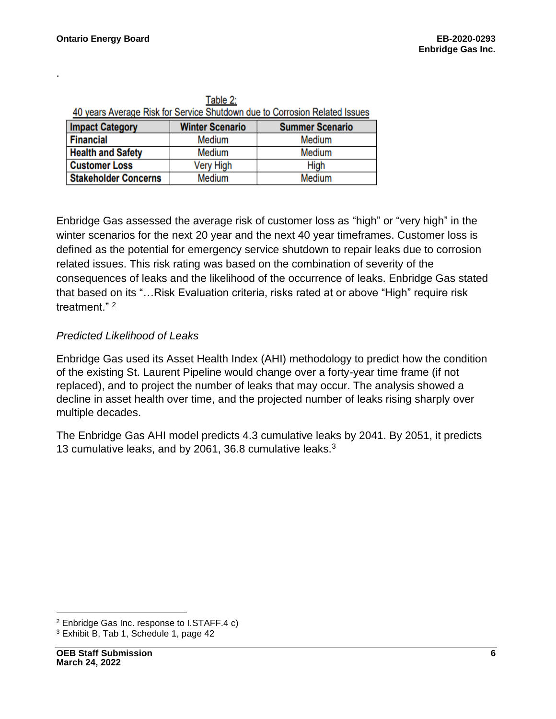.

| Table Z.<br>40 years Average Risk for Service Shutdown due to Corrosion Related Issues |                  |        |  |
|----------------------------------------------------------------------------------------|------------------|--------|--|
| <b>Impact Category</b><br><b>Winter Scenario</b><br><b>Summer Scenario</b>             |                  |        |  |
| <b>Financial</b>                                                                       | Medium           | Medium |  |
| <b>Health and Safety</b>                                                               | Medium           | Medium |  |
| <b>Customer Loss</b>                                                                   | <b>Very High</b> | High   |  |
| <b>Stakeholder Concerns</b>                                                            | Medium           | Medium |  |

 $Table 2$ 

Enbridge Gas assessed the average risk of customer loss as "high" or "very high" in the winter scenarios for the next 20 year and the next 40 year timeframes. Customer loss is defined as the potential for emergency service shutdown to repair leaks due to corrosion related issues. This risk rating was based on the combination of severity of the consequences of leaks and the likelihood of the occurrence of leaks. Enbridge Gas stated that based on its "…Risk Evaluation criteria, risks rated at or above "High" require risk treatment." <sup>2</sup>

#### *Predicted Likelihood of Leaks*

Enbridge Gas used its Asset Health Index (AHI) methodology to predict how the condition of the existing St. Laurent Pipeline would change over a forty-year time frame (if not replaced), and to project the number of leaks that may occur. The analysis showed a decline in asset health over time, and the projected number of leaks rising sharply over multiple decades.

The Enbridge Gas AHI model predicts 4.3 cumulative leaks by 2041. By 2051, it predicts 13 cumulative leaks, and by 2061, 36.8 cumulative leaks.<sup>3</sup>

<sup>2</sup> Enbridge Gas Inc. response to I.STAFF.4 c)

<sup>3</sup> Exhibit B, Tab 1, Schedule 1, page 42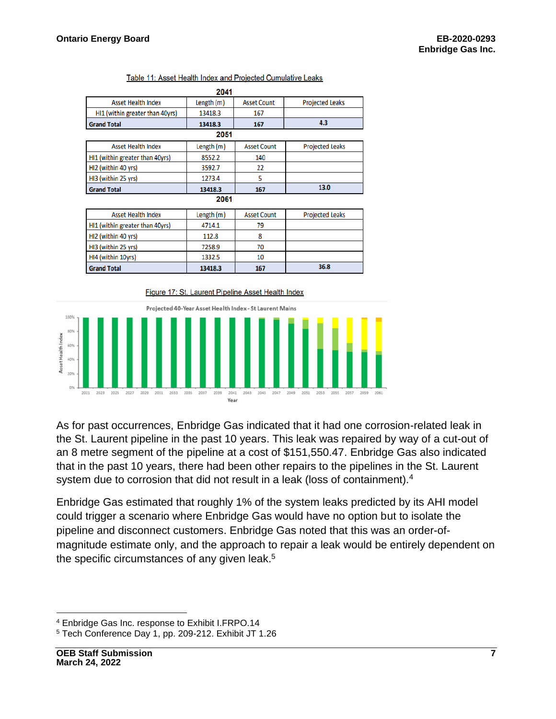**Grand Total** 

|                                 | 2041       |                    |                        |
|---------------------------------|------------|--------------------|------------------------|
| <b>Asset Health Index</b>       | Length (m) | <b>Asset Count</b> | <b>Projected Leaks</b> |
| HI1 (within greater than 40yrs) | 13418.3    | 167                |                        |
| <b>Grand Total</b>              | 13418.3    | 167                | 4.3                    |
|                                 | 2051       |                    |                        |
| <b>Asset Health Index</b>       | Length (m) | <b>Asset Count</b> | <b>Projected Leaks</b> |
| HI1 (within greater than 40yrs) | 8552.2     | 140                |                        |
| HI2 (within 40 yrs)             | 3592.7     | 22                 |                        |
| HI3 (within 25 yrs)             | 1273.4     | 5                  |                        |
| <b>Grand Total</b>              | 13418.3    | 167                | 13.0                   |
|                                 | 2061       |                    |                        |
| <b>Asset Health Index</b>       | Length (m) | <b>Asset Count</b> | <b>Projected Leaks</b> |
| HI1 (within greater than 40yrs) | 4714.1     | 79                 |                        |
| HI2 (within 40 yrs)             | 112.8      | 8                  |                        |
| HI3 (within 25 yrs)             | 7258.9     | 70                 |                        |
| HI4 (within 10yrs)              | 1332.5     | 10                 |                        |

#### Table 11: Asset Health Index and Projected Cumulative Leaks



167

13418.3



As for past occurrences, Enbridge Gas indicated that it had one corrosion-related leak in the St. Laurent pipeline in the past 10 years. This leak was repaired by way of a cut-out of an 8 metre segment of the pipeline at a cost of \$151,550.47. Enbridge Gas also indicated that in the past 10 years, there had been other repairs to the pipelines in the St. Laurent system due to corrosion that did not result in a leak (loss of containment).<sup>4</sup>

36.8

Enbridge Gas estimated that roughly 1% of the system leaks predicted by its AHI model could trigger a scenario where Enbridge Gas would have no option but to isolate the pipeline and disconnect customers. Enbridge Gas noted that this was an order-ofmagnitude estimate only, and the approach to repair a leak would be entirely dependent on the specific circumstances of any given leak.<sup>5</sup>

<sup>4</sup> Enbridge Gas Inc. response to Exhibit I.FRPO.14

<sup>5</sup> Tech Conference Day 1, pp. 209-212. Exhibit JT 1.26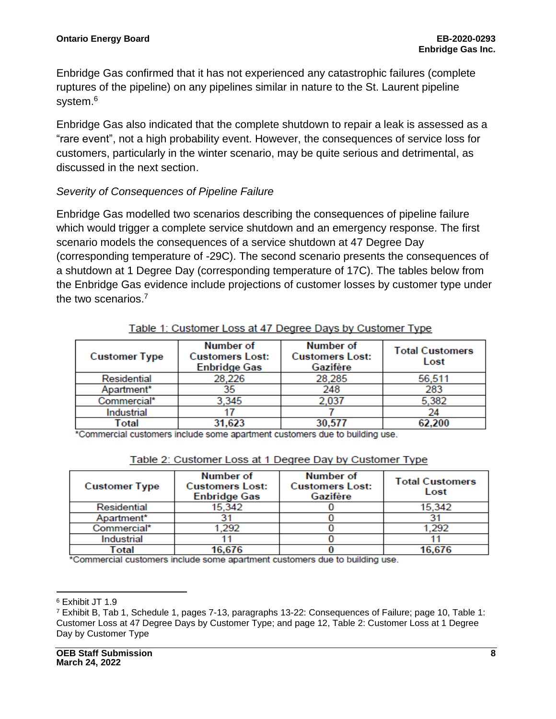Enbridge Gas confirmed that it has not experienced any catastrophic failures (complete ruptures of the pipeline) on any pipelines similar in nature to the St. Laurent pipeline system. 6

Enbridge Gas also indicated that the complete shutdown to repair a leak is assessed as a "rare event", not a high probability event. However, the consequences of service loss for customers, particularly in the winter scenario, may be quite serious and detrimental, as discussed in the next section.

#### *Severity of Consequences of Pipeline Failure*

Enbridge Gas modelled two scenarios describing the consequences of pipeline failure which would trigger a complete service shutdown and an emergency response. The first scenario models the consequences of a service shutdown at 47 Degree Day (corresponding temperature of -29C). The second scenario presents the consequences of a shutdown at 1 Degree Day (corresponding temperature of 17C). The tables below from the Enbridge Gas evidence include projections of customer losses by customer type under the two scenarios.<sup>7</sup>

| <b>Customer Type</b> | Number of<br><b>Customers Lost:</b><br><b>Enbridge Gas</b> | Number of<br><b>Customers Lost:</b><br>Gazifère | <b>Total Customers</b><br>Lost |
|----------------------|------------------------------------------------------------|-------------------------------------------------|--------------------------------|
| Residential          | 28,226                                                     | 28,285                                          | 56,511                         |
| Apartment*           | 35                                                         | 248                                             | 283                            |
| Commercial*          | 3,345                                                      | 2,037                                           | 5,382                          |
| Industrial           |                                                            |                                                 |                                |
| Total                | 31,623                                                     | 30.577                                          | 62.200                         |

#### Table 1: Customer Loss at 47 Degree Days by Customer Type

\*Commercial customers include some apartment customers due to building use.

| <b>Customer Type</b> | Number of<br><b>Customers Lost:</b><br><b>Enbridge Gas</b> | Number of<br><b>Customers Lost:</b><br>Gazifère | <b>Total Customers</b><br>Lost |
|----------------------|------------------------------------------------------------|-------------------------------------------------|--------------------------------|
| Residential          | 15,342                                                     |                                                 | 15,342                         |
| Apartment*           |                                                            |                                                 |                                |
| Commercial*          | 1,292                                                      |                                                 | 1.292                          |
| Industrial           |                                                            |                                                 |                                |
| Total<br>. .<br>. .  | 16,676<br>$\sim$                                           | <b>Contract Contract Contract Contract</b>      | 16,676                         |

#### Table 2: Customer Loss at 1 Degree Day by Customer Type

\*Commercial customers include some apartment customers due to building use.

<sup>6</sup> Exhibit JT 1.9

<sup>7</sup> Exhibit B, Tab 1, Schedule 1, pages 7-13, paragraphs 13-22: Consequences of Failure; page 10, Table 1: Customer Loss at 47 Degree Days by Customer Type; and page 12, Table 2: Customer Loss at 1 Degree Day by Customer Type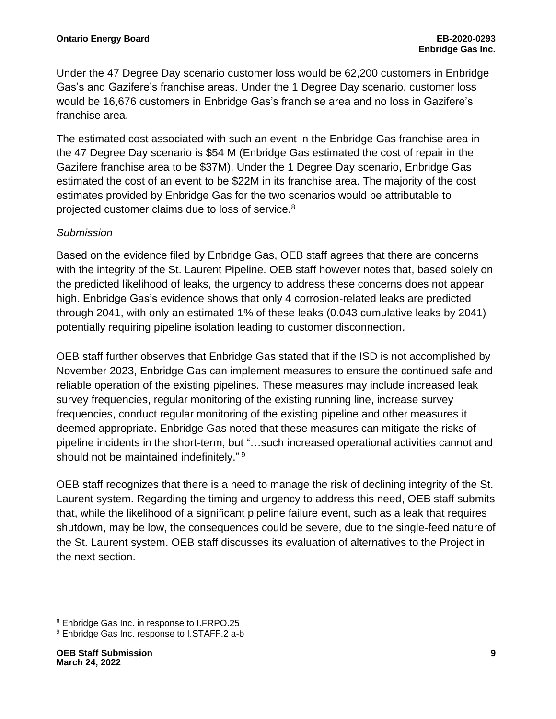Under the 47 Degree Day scenario customer loss would be 62,200 customers in Enbridge Gas's and Gazifere's franchise areas. Under the 1 Degree Day scenario, customer loss would be 16,676 customers in Enbridge Gas's franchise area and no loss in Gazifere's franchise area.

The estimated cost associated with such an event in the Enbridge Gas franchise area in the 47 Degree Day scenario is \$54 M (Enbridge Gas estimated the cost of repair in the Gazifere franchise area to be \$37M). Under the 1 Degree Day scenario, Enbridge Gas estimated the cost of an event to be \$22M in its franchise area. The majority of the cost estimates provided by Enbridge Gas for the two scenarios would be attributable to projected customer claims due to loss of service.<sup>8</sup>

#### *Submission*

Based on the evidence filed by Enbridge Gas, OEB staff agrees that there are concerns with the integrity of the St. Laurent Pipeline. OEB staff however notes that, based solely on the predicted likelihood of leaks, the urgency to address these concerns does not appear high. Enbridge Gas's evidence shows that only 4 corrosion-related leaks are predicted through 2041, with only an estimated 1% of these leaks (0.043 cumulative leaks by 2041) potentially requiring pipeline isolation leading to customer disconnection.

OEB staff further observes that Enbridge Gas stated that if the ISD is not accomplished by November 2023, Enbridge Gas can implement measures to ensure the continued safe and reliable operation of the existing pipelines. These measures may include increased leak survey frequencies, regular monitoring of the existing running line, increase survey frequencies, conduct regular monitoring of the existing pipeline and other measures it deemed appropriate. Enbridge Gas noted that these measures can mitigate the risks of pipeline incidents in the short-term, but "…such increased operational activities cannot and should not be maintained indefinitely." <sup>9</sup>

OEB staff recognizes that there is a need to manage the risk of declining integrity of the St. Laurent system. Regarding the timing and urgency to address this need, OEB staff submits that, while the likelihood of a significant pipeline failure event, such as a leak that requires shutdown, may be low, the consequences could be severe, due to the single-feed nature of the St. Laurent system. OEB staff discusses its evaluation of alternatives to the Project in the next section.

<sup>8</sup> Enbridge Gas Inc. in response to I.FRPO.25

<sup>9</sup> Enbridge Gas Inc. response to I.STAFF.2 a-b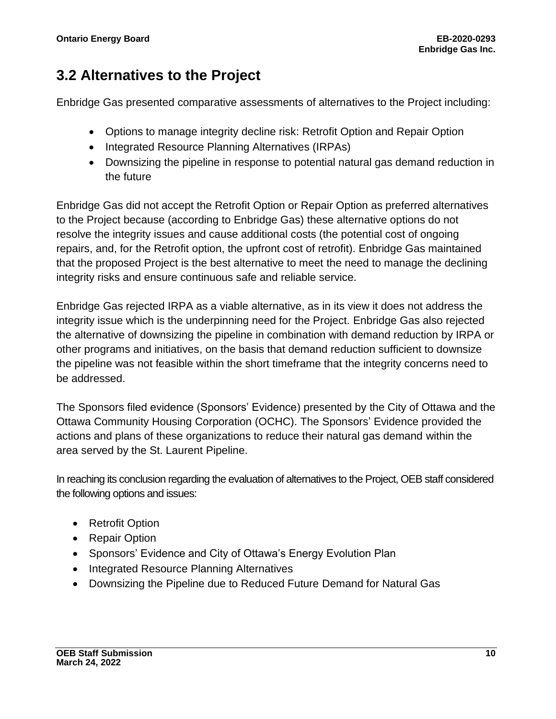### **3.2 Alternatives to the Project**

Enbridge Gas presented comparative assessments of alternatives to the Project including:

- Options to manage integrity decline risk: Retrofit Option and Repair Option
- Integrated Resource Planning Alternatives (IRPAs)
- Downsizing the pipeline in response to potential natural gas demand reduction in the future

Enbridge Gas did not accept the Retrofit Option or Repair Option as preferred alternatives to the Project because (according to Enbridge Gas) these alternative options do not resolve the integrity issues and cause additional costs (the potential cost of ongoing repairs, and, for the Retrofit option, the upfront cost of retrofit). Enbridge Gas maintained that the proposed Project is the best alternative to meet the need to manage the declining integrity risks and ensure continuous safe and reliable service.

Enbridge Gas rejected IRPA as a viable alternative, as in its view it does not address the integrity issue which is the underpinning need for the Project. Enbridge Gas also rejected the alternative of downsizing the pipeline in combination with demand reduction by IRPA or other programs and initiatives, on the basis that demand reduction sufficient to downsize the pipeline was not feasible within the short timeframe that the integrity concerns need to be addressed.

The Sponsors filed evidence (Sponsors' Evidence) presented by the City of Ottawa and the Ottawa Community Housing Corporation (OCHC). The Sponsors' Evidence provided the actions and plans of these organizations to reduce their natural gas demand within the area served by the St. Laurent Pipeline.

In reaching its conclusion regarding the evaluation of alternatives to the Project, OEB staff considered the following options and issues:

- Retrofit Option
- Repair Option
- Sponsors' Evidence and City of Ottawa's Energy Evolution Plan
- Integrated Resource Planning Alternatives
- Downsizing the Pipeline due to Reduced Future Demand for Natural Gas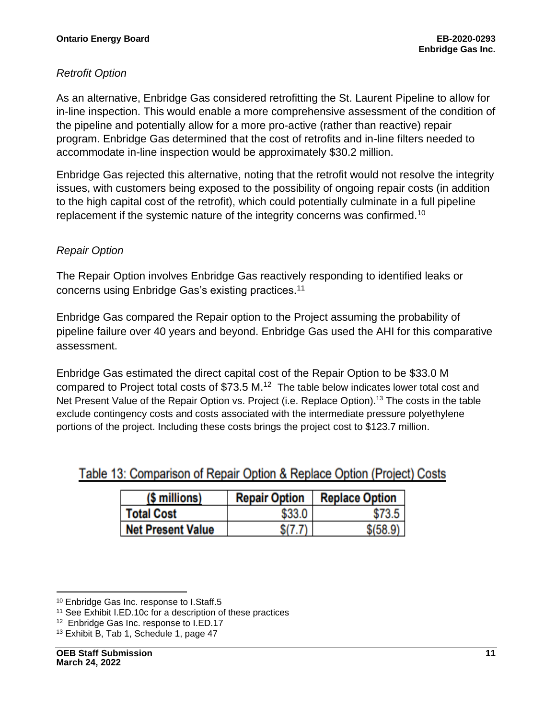#### *Retrofit Option*

As an alternative, Enbridge Gas considered retrofitting the St. Laurent Pipeline to allow for in-line inspection. This would enable a more comprehensive assessment of the condition of the pipeline and potentially allow for a more pro-active (rather than reactive) repair program. Enbridge Gas determined that the cost of retrofits and in-line filters needed to accommodate in-line inspection would be approximately \$30.2 million.

Enbridge Gas rejected this alternative, noting that the retrofit would not resolve the integrity issues, with customers being exposed to the possibility of ongoing repair costs (in addition to the high capital cost of the retrofit), which could potentially culminate in a full pipeline replacement if the systemic nature of the integrity concerns was confirmed.<sup>10</sup>

#### *Repair Option*

The Repair Option involves Enbridge Gas reactively responding to identified leaks or concerns using Enbridge Gas's existing practices.<sup>11</sup>

Enbridge Gas compared the Repair option to the Project assuming the probability of pipeline failure over 40 years and beyond. Enbridge Gas used the AHI for this comparative assessment.

Enbridge Gas estimated the direct capital cost of the Repair Option to be \$33.0 M compared to Project total costs of  $$73.5$  M.<sup>12</sup> The table below indicates lower total cost and Net Present Value of the Repair Option vs. Project (i.e. Replace Option).<sup>13</sup> The costs in the table exclude contingency costs and costs associated with the intermediate pressure polyethylene portions of the project. Including these costs brings the project cost to \$123.7 million.

| (\$ millions)            | <b>Repair Option</b> | <b>Replace Option</b> |
|--------------------------|----------------------|-----------------------|
| <b>Total Cost</b>        | \$33.0               |                       |
| <b>Net Present Value</b> |                      | \$(58.9)              |

<sup>10</sup> Enbridge Gas Inc. response to I.Staff.5

<sup>11</sup> See Exhibit I.ED.10c for a description of these practices

<sup>12</sup> Enbridge Gas Inc. response to I.ED.17

<sup>13</sup> Exhibit B, Tab 1, Schedule 1, page 47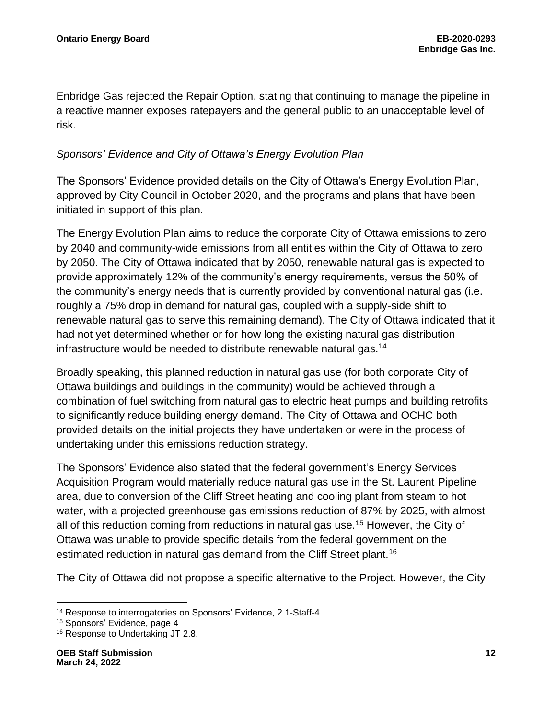Enbridge Gas rejected the Repair Option, stating that continuing to manage the pipeline in a reactive manner exposes ratepayers and the general public to an unacceptable level of risk.

#### *Sponsors' Evidence and City of Ottawa's Energy Evolution Plan*

The Sponsors' Evidence provided details on the City of Ottawa's Energy Evolution Plan, approved by City Council in October 2020, and the programs and plans that have been initiated in support of this plan.

The Energy Evolution Plan aims to reduce the corporate City of Ottawa emissions to zero by 2040 and community-wide emissions from all entities within the City of Ottawa to zero by 2050. The City of Ottawa indicated that by 2050, renewable natural gas is expected to provide approximately 12% of the community's energy requirements, versus the 50% of the community's energy needs that is currently provided by conventional natural gas (i.e. roughly a 75% drop in demand for natural gas, coupled with a supply-side shift to renewable natural gas to serve this remaining demand). The City of Ottawa indicated that it had not yet determined whether or for how long the existing natural gas distribution infrastructure would be needed to distribute renewable natural gas.<sup>14</sup>

Broadly speaking, this planned reduction in natural gas use (for both corporate City of Ottawa buildings and buildings in the community) would be achieved through a combination of fuel switching from natural gas to electric heat pumps and building retrofits to significantly reduce building energy demand. The City of Ottawa and OCHC both provided details on the initial projects they have undertaken or were in the process of undertaking under this emissions reduction strategy.

The Sponsors' Evidence also stated that the federal government's Energy Services Acquisition Program would materially reduce natural gas use in the St. Laurent Pipeline area, due to conversion of the Cliff Street heating and cooling plant from steam to hot water, with a projected greenhouse gas emissions reduction of 87% by 2025, with almost all of this reduction coming from reductions in natural gas use.<sup>15</sup> However, the City of Ottawa was unable to provide specific details from the federal government on the estimated reduction in natural gas demand from the Cliff Street plant.<sup>16</sup>

The City of Ottawa did not propose a specific alternative to the Project. However, the City

<sup>14</sup> Response to interrogatories on Sponsors' Evidence, 2.1-Staff-4

<sup>15</sup> [Sponsors'](https://www.rds.oeb.ca/CMWebDrawer/Record/737846/File/document) Evidence, page 4

<sup>&</sup>lt;sup>16</sup> Response to Undertaking JT 2.8.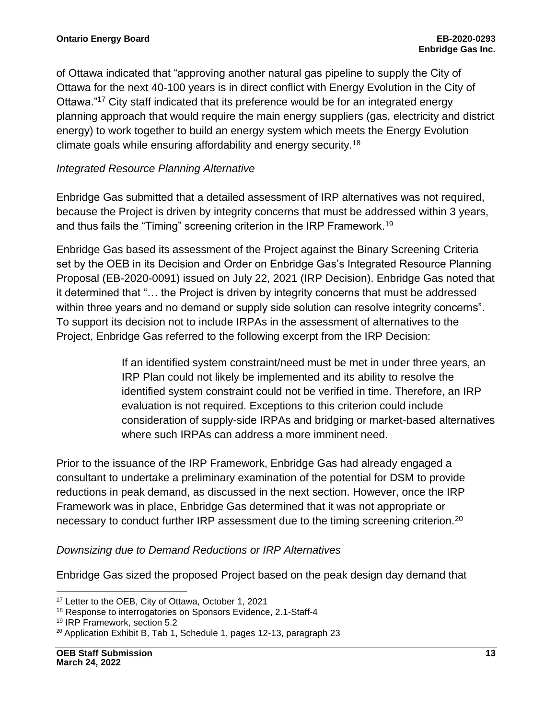of Ottawa indicated that "approving another natural gas pipeline to supply the City of Ottawa for the next 40-100 years is in direct conflict with Energy Evolution in the City of Ottawa."<sup>17</sup> City staff indicated that its preference would be for an integrated energy planning approach that would require the main energy suppliers (gas, electricity and district energy) to work together to build an energy system which meets the Energy Evolution climate goals while ensuring affordability and energy security.<sup>18</sup>

#### *Integrated Resource Planning Alternative*

Enbridge Gas submitted that a detailed assessment of IRP alternatives was not required, because the Project is driven by integrity concerns that must be addressed within 3 years, and thus fails the "Timing" screening criterion in the IRP Framework.<sup>19</sup>

Enbridge Gas based its assessment of the Project against the Binary Screening Criteria set by the OEB in its Decision and Order on Enbridge Gas's Integrated Resource Planning Proposal (EB-2020-0091) issued on July 22, 2021 (IRP Decision). Enbridge Gas noted that it determined that "… the Project is driven by integrity concerns that must be addressed within three years and no demand or supply side solution can resolve integrity concerns". To support its decision not to include IRPAs in the assessment of alternatives to the Project, Enbridge Gas referred to the following excerpt from the IRP Decision:

> If an identified system constraint/need must be met in under three years, an IRP Plan could not likely be implemented and its ability to resolve the identified system constraint could not be verified in time. Therefore, an IRP evaluation is not required. Exceptions to this criterion could include consideration of supply-side IRPAs and bridging or market-based alternatives where such IRPAs can address a more imminent need.

Prior to the issuance of the IRP Framework, Enbridge Gas had already engaged a consultant to undertake a preliminary examination of the potential for DSM to provide reductions in peak demand, as discussed in the next section. However, once the IRP Framework was in place, Enbridge Gas determined that it was not appropriate or necessary to conduct further IRP assessment due to the timing screening criterion.<sup>20</sup>

#### *Downsizing due to Demand Reductions or IRP Alternatives*

Enbridge Gas sized the proposed Project based on the peak design day demand that

<sup>17</sup> [Letter to the OEB,](https://www.rds.oeb.ca/CMWebDrawer/Record/727264/File/document) City of Ottawa, October 1, 2021

<sup>18</sup> [Response to interrogatories on](https://www.rds.oeb.ca/CMWebDrawer/Record/740972/File/document) Sponsors Evidence, 2.1-Staff-4

<sup>19</sup> [IRP Framework,](https://www.oeb.ca/sites/default/files/Integrated-Resource-Planning-Framework-IRP-EGI-20210722.pdf) section 5.2

<sup>&</sup>lt;sup>20</sup> Application Exhibit B, Tab 1, Schedule 1, pages 12-13, paragraph 23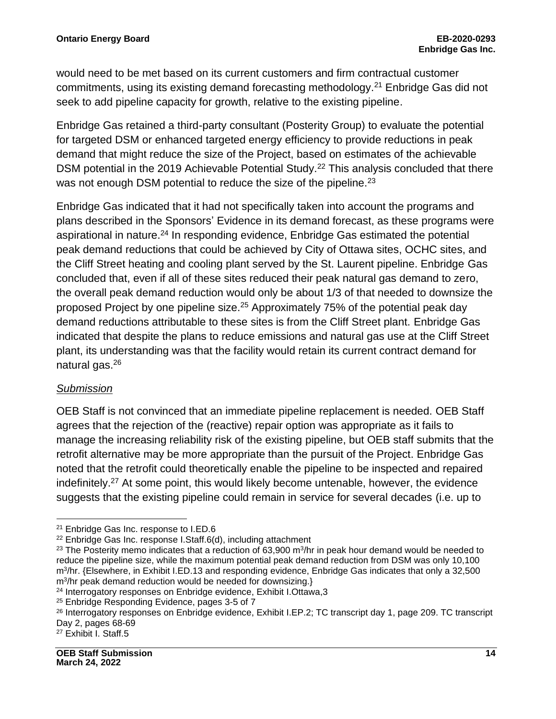would need to be met based on its current customers and firm contractual customer commitments, using its existing demand forecasting methodology.<sup>21</sup> Enbridge Gas did not seek to add pipeline capacity for growth, relative to the existing pipeline.

Enbridge Gas retained a third-party consultant (Posterity Group) to evaluate the potential for targeted DSM or enhanced targeted energy efficiency to provide reductions in peak demand that might reduce the size of the Project, based on estimates of the achievable DSM potential in the 2019 Achievable Potential Study.<sup>22</sup> This analysis concluded that there was not enough DSM potential to reduce the size of the pipeline.<sup>23</sup>

Enbridge Gas indicated that it had not specifically taken into account the programs and plans described in the Sponsors' Evidence in its demand forecast, as these programs were aspirational in nature.<sup>24</sup> In responding evidence, Enbridge Gas estimated the potential peak demand reductions that could be achieved by City of Ottawa sites, OCHC sites, and the Cliff Street heating and cooling plant served by the St. Laurent pipeline. Enbridge Gas concluded that, even if all of these sites reduced their peak natural gas demand to zero, the overall peak demand reduction would only be about 1/3 of that needed to downsize the proposed Project by one pipeline size.<sup>25</sup> Approximately 75% of the potential peak day demand reductions attributable to these sites is from the Cliff Street plant. Enbridge Gas indicated that despite the plans to reduce emissions and natural gas use at the Cliff Street plant, its understanding was that the facility would retain its current contract demand for natural gas.<sup>26</sup>

#### *Submission*

OEB Staff is not convinced that an immediate pipeline replacement is needed. OEB Staff agrees that the rejection of the (reactive) repair option was appropriate as it fails to manage the increasing reliability risk of the existing pipeline, but OEB staff submits that the retrofit alternative may be more appropriate than the pursuit of the Project. Enbridge Gas noted that the retrofit could theoretically enable the pipeline to be inspected and repaired indefinitely.<sup>27</sup> At some point, this would likely become untenable, however, the evidence suggests that the existing pipeline could remain in service for several decades (i.e. up to

<sup>21</sup> Enbridge Gas Inc. response to I.ED.6

<sup>22</sup> Enbridge Gas Inc. response I.Staff.6(d), including attachment

<sup>&</sup>lt;sup>23</sup> The Posterity memo indicates that a reduction of 63,900 m<sup>3</sup>/hr in peak hour demand would be needed to reduce the pipeline size, while the maximum potential peak demand reduction from DSM was only 10,100 m<sup>3</sup> /hr. {Elsewhere, in Exhibit I.ED.13 and responding evidence, Enbridge Gas indicates that only a 32,500 m<sup>3</sup> /hr peak demand reduction would be needed for downsizing.}

<sup>24</sup> [Interrogatory responses on Enbridge evidence,](https://www.rds.oeb.ca/CMWebDrawer/Record/735338/File/document) Exhibit I.Ottawa,3

<sup>25</sup> [Enbridge Responding Evidence,](https://www.rds.oeb.ca/CMWebDrawer/Record/738834/File/document) pages 3-5 of 7

<sup>26</sup> [Interrogatory responses on Enbridge evidence,](https://www.rds.oeb.ca/CMWebDrawer/Record/735338/File/document) Exhibit I.EP.2; TC transcript day 1, page 209. TC transcript Day 2, pages 68-69

<sup>27</sup> Exhibit I. Staff.5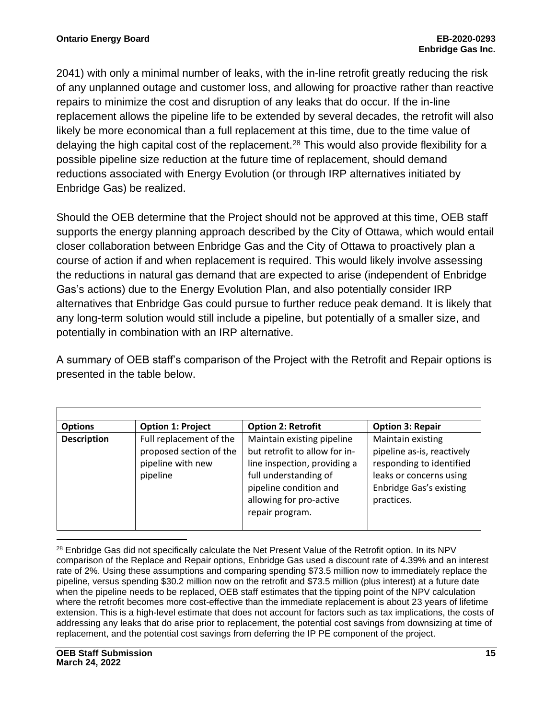2041) with only a minimal number of leaks, with the in-line retrofit greatly reducing the risk of any unplanned outage and customer loss, and allowing for proactive rather than reactive repairs to minimize the cost and disruption of any leaks that do occur. If the in-line replacement allows the pipeline life to be extended by several decades, the retrofit will also likely be more economical than a full replacement at this time, due to the time value of delaying the high capital cost of the replacement.<sup>28</sup> This would also provide flexibility for a possible pipeline size reduction at the future time of replacement, should demand reductions associated with Energy Evolution (or through IRP alternatives initiated by Enbridge Gas) be realized.

Should the OEB determine that the Project should not be approved at this time, OEB staff supports the energy planning approach described by the City of Ottawa, which would entail closer collaboration between Enbridge Gas and the City of Ottawa to proactively plan a course of action if and when replacement is required. This would likely involve assessing the reductions in natural gas demand that are expected to arise (independent of Enbridge Gas's actions) due to the Energy Evolution Plan, and also potentially consider IRP alternatives that Enbridge Gas could pursue to further reduce peak demand. It is likely that any long-term solution would still include a pipeline, but potentially of a smaller size, and potentially in combination with an IRP alternative.

A summary of OEB staff's comparison of the Project with the Retrofit and Repair options is presented in the table below.

| <b>Options</b>     | <b>Option 1: Project</b>                                                            | <b>Option 2: Retrofit</b>                                                                                                                                                                    | <b>Option 3: Repair</b>                                                                                                                                |
|--------------------|-------------------------------------------------------------------------------------|----------------------------------------------------------------------------------------------------------------------------------------------------------------------------------------------|--------------------------------------------------------------------------------------------------------------------------------------------------------|
| <b>Description</b> | Full replacement of the<br>proposed section of the<br>pipeline with new<br>pipeline | Maintain existing pipeline<br>but retrofit to allow for in-<br>line inspection, providing a<br>full understanding of<br>pipeline condition and<br>allowing for pro-active<br>repair program. | Maintain existing<br>pipeline as-is, reactively<br>responding to identified<br>leaks or concerns using<br><b>Enbridge Gas's existing</b><br>practices. |

<sup>28</sup> Enbridge Gas did not specifically calculate the Net Present Value of the Retrofit option. In its NPV comparison of the Replace and Repair options, Enbridge Gas used a discount rate of 4.39% and an interest rate of 2%. Using these assumptions and comparing spending \$73.5 million now to immediately replace the pipeline, versus spending \$30.2 million now on the retrofit and \$73.5 million (plus interest) at a future date when the pipeline needs to be replaced, OEB staff estimates that the tipping point of the NPV calculation where the retrofit becomes more cost-effective than the immediate replacement is about 23 years of lifetime extension. This is a high-level estimate that does not account for factors such as tax implications, the costs of addressing any leaks that do arise prior to replacement, the potential cost savings from downsizing at time of replacement, and the potential cost savings from deferring the IP PE component of the project.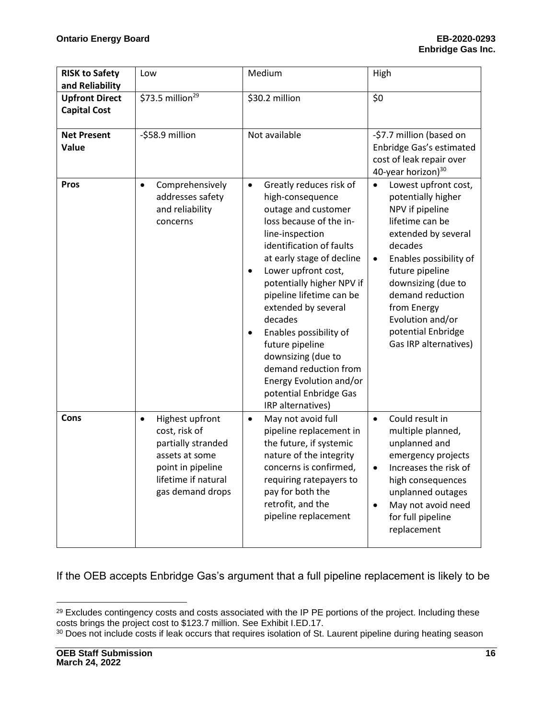| <b>RISK to Safety</b><br>and Reliability     | Low                                                                                                                                                   | Medium                                                                                                                                                                                                                                                                                                                                                                                                                                                                                      | High                                                                                                                                                                                                                                                                                                                  |
|----------------------------------------------|-------------------------------------------------------------------------------------------------------------------------------------------------------|---------------------------------------------------------------------------------------------------------------------------------------------------------------------------------------------------------------------------------------------------------------------------------------------------------------------------------------------------------------------------------------------------------------------------------------------------------------------------------------------|-----------------------------------------------------------------------------------------------------------------------------------------------------------------------------------------------------------------------------------------------------------------------------------------------------------------------|
| <b>Upfront Direct</b><br><b>Capital Cost</b> | \$73.5 million <sup>29</sup>                                                                                                                          | \$30.2 million                                                                                                                                                                                                                                                                                                                                                                                                                                                                              | \$0                                                                                                                                                                                                                                                                                                                   |
| <b>Net Present</b><br>Value                  | -\$58.9 million                                                                                                                                       | Not available                                                                                                                                                                                                                                                                                                                                                                                                                                                                               | -\$7.7 million (based on<br>Enbridge Gas's estimated<br>cost of leak repair over<br>40-year horizon) <sup>30</sup>                                                                                                                                                                                                    |
| <b>Pros</b>                                  | Comprehensively<br>$\bullet$<br>addresses safety<br>and reliability<br>concerns                                                                       | Greatly reduces risk of<br>$\bullet$<br>high-consequence<br>outage and customer<br>loss because of the in-<br>line-inspection<br>identification of faults<br>at early stage of decline<br>Lower upfront cost,<br>potentially higher NPV if<br>pipeline lifetime can be<br>extended by several<br>decades<br>Enables possibility of<br>$\bullet$<br>future pipeline<br>downsizing (due to<br>demand reduction from<br>Energy Evolution and/or<br>potential Enbridge Gas<br>IRP alternatives) | Lowest upfront cost,<br>$\bullet$<br>potentially higher<br>NPV if pipeline<br>lifetime can be<br>extended by several<br>decades<br>Enables possibility of<br>$\bullet$<br>future pipeline<br>downsizing (due to<br>demand reduction<br>from Energy<br>Evolution and/or<br>potential Enbridge<br>Gas IRP alternatives) |
| Cons                                         | Highest upfront<br>$\bullet$<br>cost, risk of<br>partially stranded<br>assets at some<br>point in pipeline<br>lifetime if natural<br>gas demand drops | May not avoid full<br>$\bullet$<br>pipeline replacement in<br>the future, if systemic<br>nature of the integrity<br>concerns is confirmed,<br>requiring ratepayers to<br>pay for both the<br>retrofit, and the<br>pipeline replacement                                                                                                                                                                                                                                                      | Could result in<br>$\bullet$<br>multiple planned,<br>unplanned and<br>emergency projects<br>Increases the risk of<br>high consequences<br>unplanned outages<br>May not avoid need<br>$\bullet$<br>for full pipeline<br>replacement                                                                                    |

If the OEB accepts Enbridge Gas's argument that a full pipeline replacement is likely to be

<sup>&</sup>lt;sup>29</sup> Excludes contingency costs and costs associated with the IP PE portions of the project. Including these costs brings the project cost to \$123.7 million. See Exhibit I.ED.17.

<sup>30</sup> Does not include costs if leak occurs that requires isolation of St. Laurent pipeline during heating season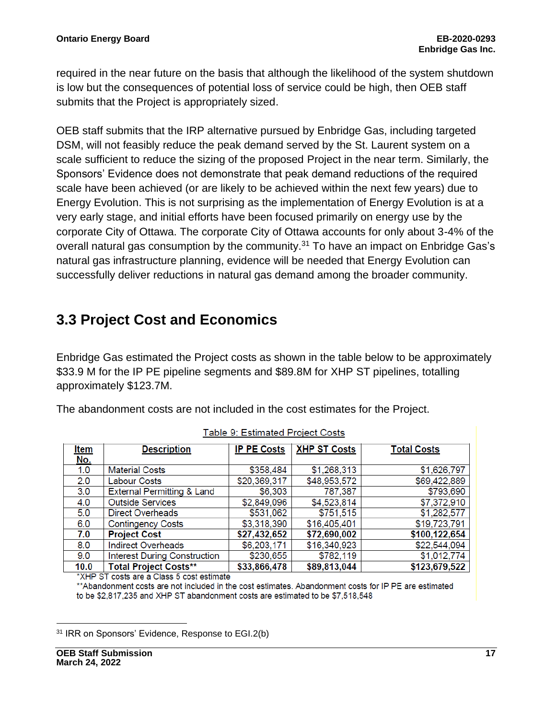required in the near future on the basis that although the likelihood of the system shutdown is low but the consequences of potential loss of service could be high, then OEB staff submits that the Project is appropriately sized.

OEB staff submits that the IRP alternative pursued by Enbridge Gas, including targeted DSM, will not feasibly reduce the peak demand served by the St. Laurent system on a scale sufficient to reduce the sizing of the proposed Project in the near term. Similarly, the Sponsors' Evidence does not demonstrate that peak demand reductions of the required scale have been achieved (or are likely to be achieved within the next few years) due to Energy Evolution. This is not surprising as the implementation of Energy Evolution is at a very early stage, and initial efforts have been focused primarily on energy use by the corporate City of Ottawa. The corporate City of Ottawa accounts for only about 3-4% of the overall natural gas consumption by the community.<sup>31</sup> To have an impact on Enbridge Gas's natural gas infrastructure planning, evidence will be needed that Energy Evolution can successfully deliver reductions in natural gas demand among the broader community.

### **3.3 Project Cost and Economics**

Enbridge Gas estimated the Project costs as shown in the table below to be approximately \$33.9 M for the IP PE pipeline segments and \$89.8M for XHP ST pipelines, totalling approximately \$123.7M.

The abandonment costs are not included in the cost estimates for the Project.

| <u>Item</u> | <b>Description</b>                    | <b>IP PE Costs</b> | <b>XHP ST Costs</b> | <b>Total Costs</b> |
|-------------|---------------------------------------|--------------------|---------------------|--------------------|
| <u>No.</u>  |                                       |                    |                     |                    |
| 1.0         | <b>Material Costs</b>                 | \$358,484          | \$1,268,313         | \$1,626,797        |
| 2.0         | Labour Costs                          | \$20,369,317       | \$48,953,572        | \$69,422,889       |
| 3.0         | <b>External Permitting &amp; Land</b> | \$6,303            | 787,387             | \$793,690          |
| 4.0         | <b>Outside Services</b>               | \$2,849,096        | \$4,523,814         | \$7,372,910        |
| 5.0         | <b>Direct Overheads</b>               | \$531,062          | \$751,515           | \$1,282,577        |
| 6.0         | <b>Contingency Costs</b>              | \$3,318,390        | \$16,405,401        | \$19,723,791       |
| 7.0         | <b>Project Cost</b>                   | \$27,432,652       | \$72,690,002        | \$100,122,654      |
| 8.0         | <b>Indirect Overheads</b>             | \$6,203,171        | \$16,340,923        | \$22,544,094       |
| 9.0         | <b>Interest During Construction</b>   | \$230,655          | \$782,119           | \$1,012,774        |
| 10.0        | <b>Total Project Costs**</b>          | \$33,866,478       | \$89,813,044        | \$123,679,522      |

| Table 9: Estimated Project Costs |  |
|----------------------------------|--|
|----------------------------------|--|

\*XHP ST costs are a Class 5 cost estimate

\*\* Abandonment costs are not included in the cost estimates. Abandonment costs for IP PE are estimated to be \$2,817,235 and XHP ST abandonment costs are estimated to be \$7,518,548

<sup>31</sup> IRR on Sponsors' Evidence, Response to EGI.2(b)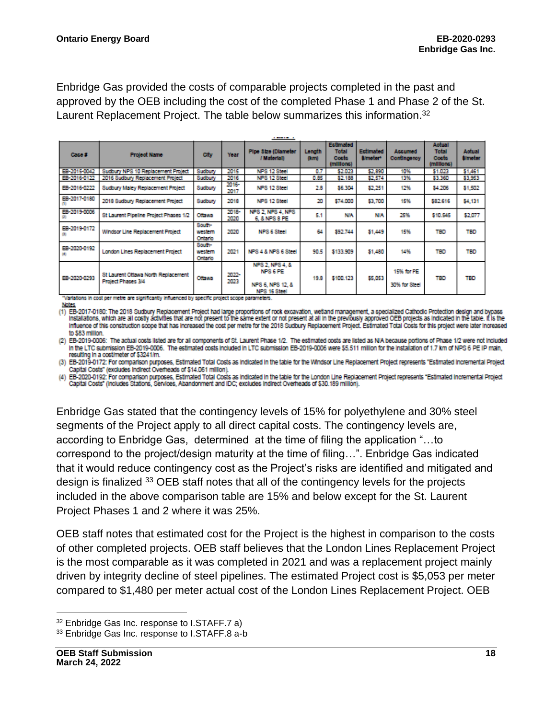Enbridge Gas provided the costs of comparable projects completed in the past and approved by the OEB including the cost of the completed Phase 1 and Phase 2 of the St. Laurent Replacement Project. The table below summarizes this information.<sup>32</sup>

| <b>Project Name</b>                                              | City                         | Year          | Pipe Size (Diameter<br>/ Material)                              | Longth<br>(km) | Total<br>Costs<br>(millions) | <b>Ectimated</b><br>#/meter* | <b>Accumed</b><br>Contingency | Actual<br><b>Total</b><br>Costs<br>(millions) | Actual<br><b><i><u>Umeter</u></i></b>                                                            |
|------------------------------------------------------------------|------------------------------|---------------|-----------------------------------------------------------------|----------------|------------------------------|------------------------------|-------------------------------|-----------------------------------------------|--------------------------------------------------------------------------------------------------|
| Sudbury NPS 10 Replacement Project                               | Sudbury                      | 2015          | NPS 12 Steel                                                    | 0.7            | \$2.023                      | \$2,890                      | 10%                           | \$1.023                                       | \$1,461                                                                                          |
| 2016 Sudbury Replacement Project                                 | Sudbury                      | 2016          | NPS 12 Steel                                                    | 0.85           | \$2.188                      | \$2,574                      | 13%                           | \$3,360                                       | \$3,953                                                                                          |
| Sudbury Maley Replacement Project                                | Sudbury                      | 2016-<br>2017 | NPS 12 Steel                                                    | 2.8            | \$6,304                      | \$2,251                      | 12%                           | \$4,205                                       | \$1,502                                                                                          |
| 2018 Sudbury Replacement Project                                 | Sudbury                      | 2018          | NPS 12 Steel                                                    | 20             | \$74,000                     | \$3,700                      | 15%                           | \$82.616                                      | \$4,131                                                                                          |
| St Laurent Pipeline Project Phases 1/2                           | Ottawa                       | 2018-<br>2020 | NPS 2, NPS 4, NPS<br>6, & NPS 8 PE                              | 5.1            | <b>NIA</b>                   | <b>N/A</b>                   | 25%                           | \$10.545                                      | \$2,077                                                                                          |
| Windsor Line Replacement Project                                 | South-<br>western<br>Ontario | 2020          | NPS 6 Steel                                                     | 64             | \$92.744                     | \$1,449                      | 15%                           | TBD                                           | TBD                                                                                              |
| London Lines Replacement Project                                 | South-<br>western<br>Ontario | 2021          | NPS 4 & NPS 6 Steel                                             | 90.5           | \$133.909                    | \$1,480                      | 14%                           | TBD                                           | <b>TBD</b>                                                                                       |
| St Laurent Ottawa North Replacement<br><b>Project Phases 3/4</b> | Ottawa                       | 2022-<br>2023 | NPS 2, NPS 4, &<br>NPS 6 PE<br>NPS 6, NPS 12, &<br>NPS 16 Steel | 19.8           | \$100.123                    | \$5,053                      | 15% for PE<br>30% for Steel   | TBD                                           | <b>TBD</b>                                                                                       |
|                                                                  |                              |               |                                                                 |                |                              | Estimated                    |                               |                                               | "Variations in cost per metre are significantly influenced by specific project scope parameters. |

Notes

(1) EB-2017-0180: The 2018 Sudbury Replacement Project had large proportions of rock excavation, wetland management, a specialized Cathodic Protection design and bypass<br>Installations, which are all costly activities that a Influence of this construction scope that has increased the cost per metre for the 2018 Sudbury Replacement Project. Estimated Total Costs for this project were later increased to \$83 million.

(2) EB-2019-0006: The actual costs listed are for all components of St. Laurent Phase 1/2. The estimated costs are listed as N/A because portions of Phase 1/2 were not included In the LTC submission EB-2019-0006. The estimated costs included in LTC submission EB-2019-0006 were \$5.511 million for the installation of 1.7 km of NPS 6 PE IP main, resulting in a cost/meter of \$3241/m.

(3) EB-2019-0172: For comparison purposes, Estimated Total Costs as Indicated in the table for the Windsor Line Replacement Project represents "Estimated incremental Project Capital Costs" (excludes indirect Overheads of \$14.061 million).

(4) EB-2020-0192: For comparison purposes, Estimated Total Costs as Indicated in the table for the London Une Replacement Project represents "Estimated Incremental Project Capital Costs" (includes Stations, Services, Abandonment and IDC; excludes indirect Overheads of \$30.189 million).

Enbridge Gas stated that the contingency levels of 15% for polyethylene and 30% steel segments of the Project apply to all direct capital costs. The contingency levels are, according to Enbridge Gas, determined at the time of filing the application "…to correspond to the project/design maturity at the time of filing…". Enbridge Gas indicated that it would reduce contingency cost as the Project's risks are identified and mitigated and design is finalized <sup>33</sup> OEB staff notes that all of the contingency levels for the projects included in the above comparison table are 15% and below except for the St. Laurent Project Phases 1 and 2 where it was 25%.

OEB staff notes that estimated cost for the Project is the highest in comparison to the costs of other completed projects. OEB staff believes that the London Lines Replacement Project is the most comparable as it was completed in 2021 and was a replacement project mainly driven by integrity decline of steel pipelines. The estimated Project cost is \$5,053 per meter compared to \$1,480 per meter actual cost of the London Lines Replacement Project. OEB

<sup>32</sup> Enbridge Gas Inc. response to I.STAFF.7 a)

<sup>33</sup> Enbridge Gas Inc. response to I.STAFF.8 a-b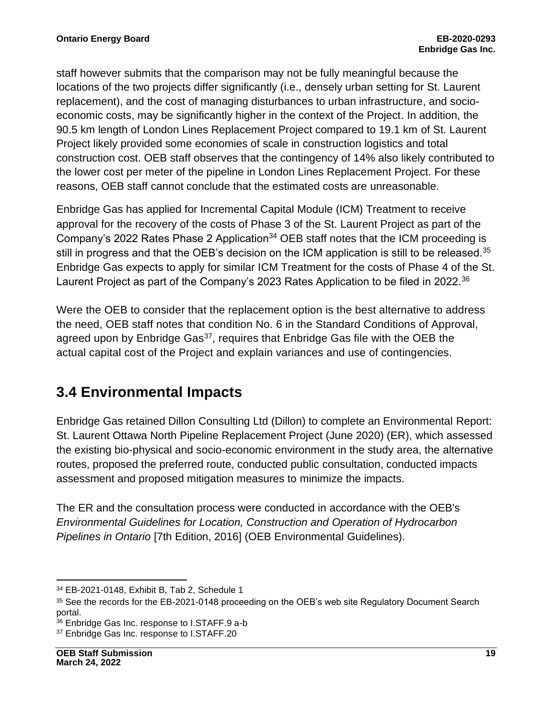staff however submits that the comparison may not be fully meaningful because the locations of the two projects differ significantly (i.e., densely urban setting for St. Laurent replacement), and the cost of managing disturbances to urban infrastructure, and socioeconomic costs, may be significantly higher in the context of the Project. In addition, the 90.5 km length of London Lines Replacement Project compared to 19.1 km of St. Laurent Project likely provided some economies of scale in construction logistics and total construction cost. OEB staff observes that the contingency of 14% also likely contributed to the lower cost per meter of the pipeline in London Lines Replacement Project. For these reasons, OEB staff cannot conclude that the estimated costs are unreasonable.

Enbridge Gas has applied for Incremental Capital Module (ICM) Treatment to receive approval for the recovery of the costs of Phase 3 of the St. Laurent Project as part of the Company's 2022 Rates Phase 2 Application<sup>34</sup> OEB staff notes that the ICM proceeding is still in progress and that the OEB's decision on the ICM application is still to be released.<sup>35</sup> Enbridge Gas expects to apply for similar ICM Treatment for the costs of Phase 4 of the St. Laurent Project as part of the Company's 2023 Rates Application to be filed in 2022.<sup>36</sup>

Were the OEB to consider that the replacement option is the best alternative to address the need, OEB staff notes that condition No. 6 in the Standard Conditions of Approval, agreed upon by Enbridge Gas<sup>37</sup>, requires that Enbridge Gas file with the OEB the actual capital cost of the Project and explain variances and use of contingencies.

### **3.4 Environmental Impacts**

Enbridge Gas retained Dillon Consulting Ltd (Dillon) to complete an Environmental Report: St. Laurent Ottawa North Pipeline Replacement Project (June 2020) (ER), which assessed the existing bio-physical and socio-economic environment in the study area, the alternative routes, proposed the preferred route, conducted public consultation, conducted impacts assessment and proposed mitigation measures to minimize the impacts.

The ER and the consultation process were conducted in accordance with the OEB's *Environmental Guidelines for Location, Construction and Operation of Hydrocarbon Pipelines in Ontario* [7th Edition, 2016] (OEB Environmental Guidelines).

<sup>34</sup> EB-2021-0148, Exhibit B, Tab 2, Schedule 1

<sup>&</sup>lt;sup>35</sup> See the records for the EB-2021-0148 proceeding on the OEB's web site Regulatory Document Search portal.

<sup>36</sup> Enbridge Gas Inc. response to I.STAFF.9 a-b

<sup>37</sup> Enbridge Gas Inc. response to I.STAFF.20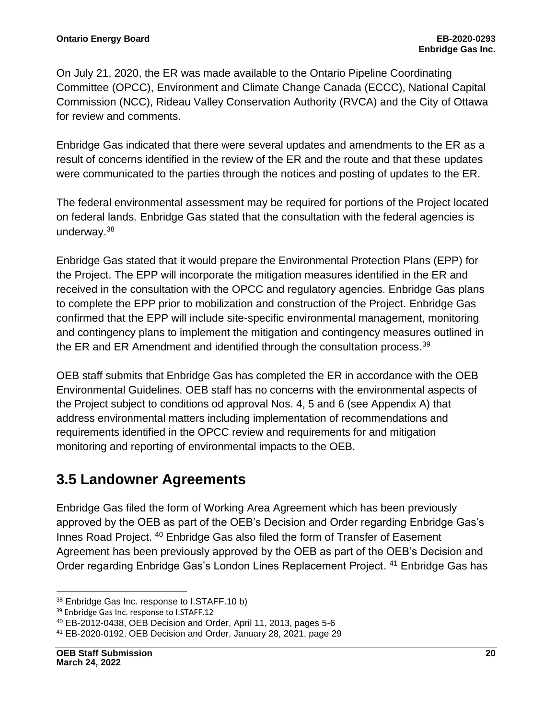On July 21, 2020, the ER was made available to the Ontario Pipeline Coordinating Committee (OPCC), Environment and Climate Change Canada (ECCC), National Capital Commission (NCC), Rideau Valley Conservation Authority (RVCA) and the City of Ottawa for review and comments.

Enbridge Gas indicated that there were several updates and amendments to the ER as a result of concerns identified in the review of the ER and the route and that these updates were communicated to the parties through the notices and posting of updates to the ER.

The federal environmental assessment may be required for portions of the Project located on federal lands. Enbridge Gas stated that the consultation with the federal agencies is underway.<sup>38</sup>

Enbridge Gas stated that it would prepare the Environmental Protection Plans (EPP) for the Project. The EPP will incorporate the mitigation measures identified in the ER and received in the consultation with the OPCC and regulatory agencies. Enbridge Gas plans to complete the EPP prior to mobilization and construction of the Project. Enbridge Gas confirmed that the EPP will include site-specific environmental management, monitoring and contingency plans to implement the mitigation and contingency measures outlined in the ER and ER Amendment and identified through the consultation process.  $39$ 

OEB staff submits that Enbridge Gas has completed the ER in accordance with the OEB Environmental Guidelines. OEB staff has no concerns with the environmental aspects of the Project subject to conditions od approval Nos. 4, 5 and 6 (see Appendix A) that address environmental matters including implementation of recommendations and requirements identified in the OPCC review and requirements for and mitigation monitoring and reporting of environmental impacts to the OEB.

### **3.5 Landowner Agreements**

Enbridge Gas filed the form of Working Area Agreement which has been previously approved by the OEB as part of the OEB's Decision and Order regarding Enbridge Gas's Innes Road Project. <sup>40</sup> Enbridge Gas also filed the form of Transfer of Easement Agreement has been previously approved by the OEB as part of the OEB's Decision and Order regarding Enbridge Gas's London Lines Replacement Project. <sup>41</sup> Enbridge Gas has

<sup>38</sup> Enbridge Gas Inc. response to I.STAFF.10 b)

<sup>39</sup> Enbridge Gas Inc. response to I.STAFF.12

<sup>40</sup> EB-2012-0438, OEB Decision and Order, April 11, 2013, pages 5-6

<sup>41</sup> EB-2020-0192, OEB Decision and Order, January 28, 2021, page 29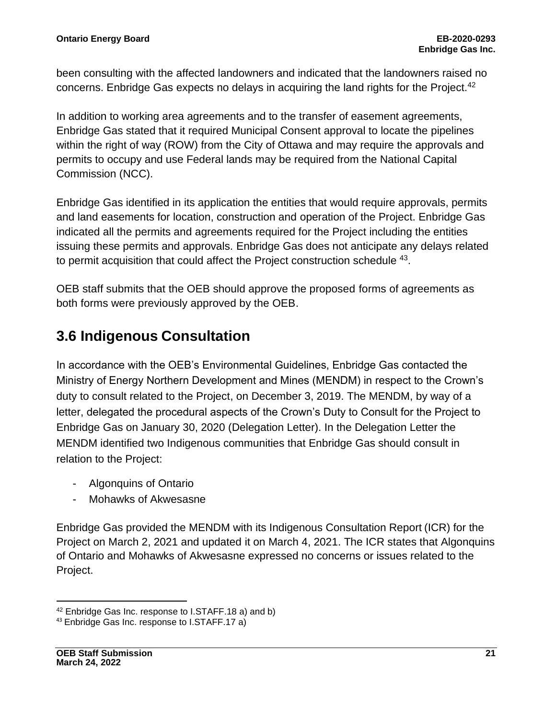been consulting with the affected landowners and indicated that the landowners raised no concerns. Enbridge Gas expects no delays in acquiring the land rights for the Project.<sup>42</sup>

In addition to working area agreements and to the transfer of easement agreements, Enbridge Gas stated that it required Municipal Consent approval to locate the pipelines within the right of way (ROW) from the City of Ottawa and may require the approvals and permits to occupy and use Federal lands may be required from the National Capital Commission (NCC).

Enbridge Gas identified in its application the entities that would require approvals, permits and land easements for location, construction and operation of the Project. Enbridge Gas indicated all the permits and agreements required for the Project including the entities issuing these permits and approvals. Enbridge Gas does not anticipate any delays related to permit acquisition that could affect the Project construction schedule <sup>43</sup>.

OEB staff submits that the OEB should approve the proposed forms of agreements as both forms were previously approved by the OEB.

### **3.6 Indigenous Consultation**

In accordance with the OEB's Environmental Guidelines, Enbridge Gas contacted the Ministry of Energy Northern Development and Mines (MENDM) in respect to the Crown's duty to consult related to the Project, on December 3, 2019. The MENDM, by way of a letter, delegated the procedural aspects of the Crown's Duty to Consult for the Project to Enbridge Gas on January 30, 2020 (Delegation Letter). In the Delegation Letter the MENDM identified two Indigenous communities that Enbridge Gas should consult in relation to the Project:

- Algonquins of Ontario
- Mohawks of Akwesasne

Enbridge Gas provided the MENDM with its Indigenous Consultation Report (ICR) for the Project on March 2, 2021 and updated it on March 4, 2021. The ICR states that Algonquins of Ontario and Mohawks of Akwesasne expressed no concerns or issues related to the Project.

<sup>42</sup> Enbridge Gas Inc. response to I.STAFF.18 a) and b)

<sup>43</sup> Enbridge Gas Inc. response to I.STAFF.17 a)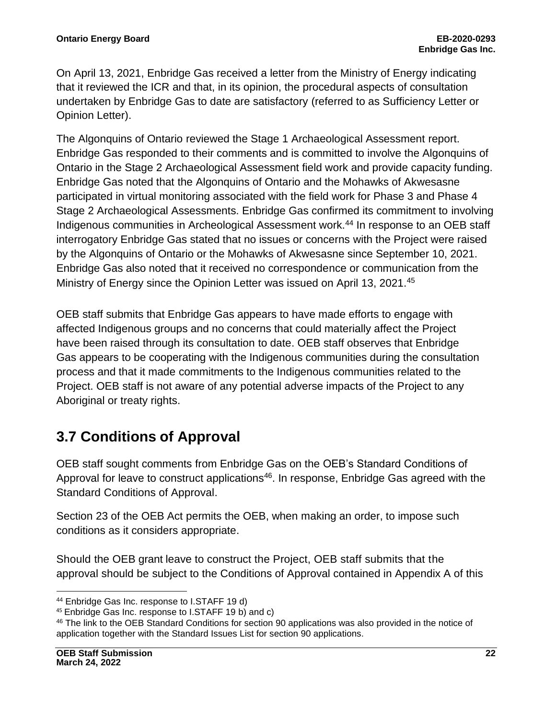On April 13, 2021, Enbridge Gas received a letter from the Ministry of Energy indicating that it reviewed the ICR and that, in its opinion, the procedural aspects of consultation undertaken by Enbridge Gas to date are satisfactory (referred to as Sufficiency Letter or Opinion Letter).

The Algonquins of Ontario reviewed the Stage 1 Archaeological Assessment report. Enbridge Gas responded to their comments and is committed to involve the Algonquins of Ontario in the Stage 2 Archaeological Assessment field work and provide capacity funding. Enbridge Gas noted that the Algonquins of Ontario and the Mohawks of Akwesasne participated in virtual monitoring associated with the field work for Phase 3 and Phase 4 Stage 2 Archaeological Assessments. Enbridge Gas confirmed its commitment to involving Indigenous communities in Archeological Assessment work.<sup>44</sup> In response to an OEB staff interrogatory Enbridge Gas stated that no issues or concerns with the Project were raised by the Algonquins of Ontario or the Mohawks of Akwesasne since September 10, 2021. Enbridge Gas also noted that it received no correspondence or communication from the Ministry of Energy since the Opinion Letter was issued on April 13, 2021.<sup>45</sup>

OEB staff submits that Enbridge Gas appears to have made efforts to engage with affected Indigenous groups and no concerns that could materially affect the Project have been raised through its consultation to date. OEB staff observes that Enbridge Gas appears to be cooperating with the Indigenous communities during the consultation process and that it made commitments to the Indigenous communities related to the Project. OEB staff is not aware of any potential adverse impacts of the Project to any Aboriginal or treaty rights.

### **3.7 Conditions of Approval**

OEB staff sought comments from Enbridge Gas on the OEB's Standard Conditions of Approval for leave to construct applications<sup>46</sup>. In response, Enbridge Gas agreed with the Standard Conditions of Approval.

Section 23 of the OEB Act permits the OEB, when making an order, to impose such conditions as it considers appropriate.

Should the OEB grant leave to construct the Project, OEB staff submits that the approval should be subject to the Conditions of Approval contained in Appendix A of this

<sup>44</sup> Enbridge Gas Inc. response to I.STAFF 19 d)

<sup>45</sup> Enbridge Gas Inc. response to I.STAFF 19 b) and c)

<sup>46</sup> The link to the OEB Standard Conditions for section 90 applications was also provided in the notice of application together with the Standard Issues List for section 90 applications.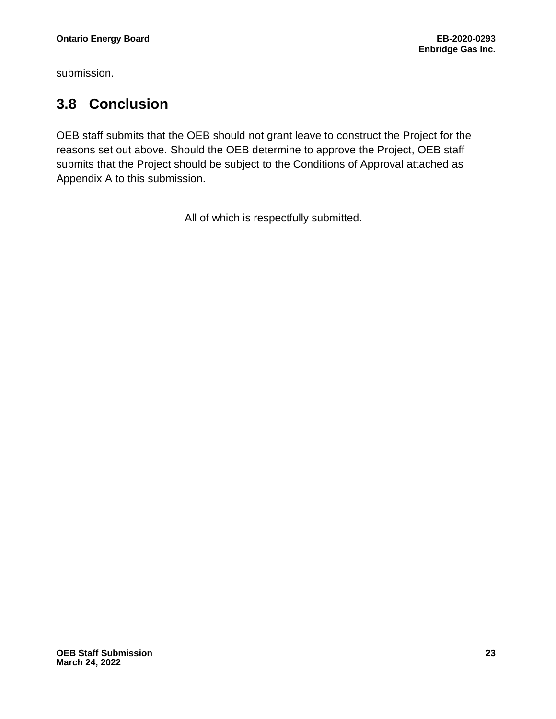submission.

### **3.8 Conclusion**

OEB staff submits that the OEB should not grant leave to construct the Project for the reasons set out above. Should the OEB determine to approve the Project, OEB staff submits that the Project should be subject to the Conditions of Approval attached as Appendix A to this submission.

All of which is respectfully submitted.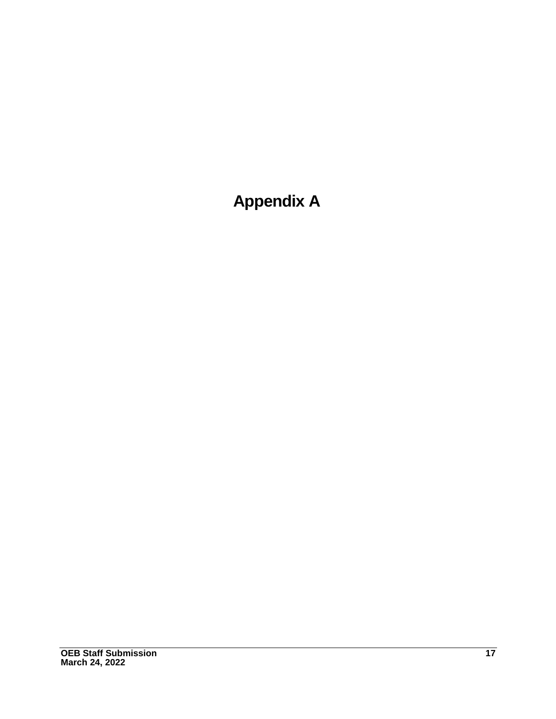**Appendix A**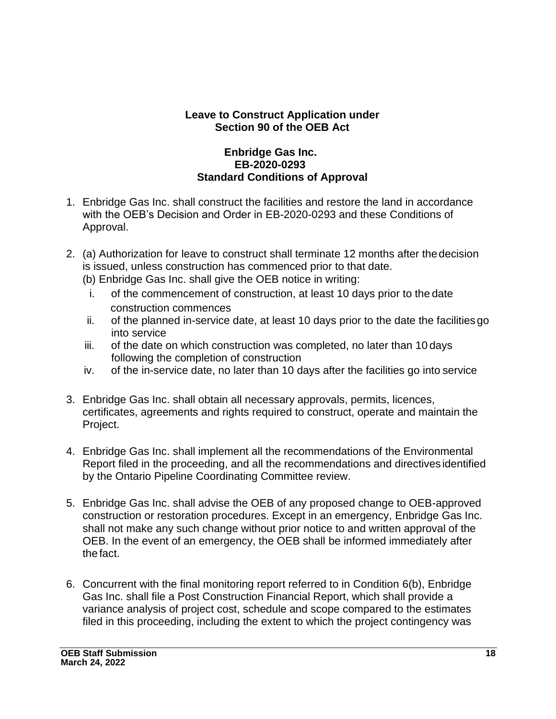#### **Leave to Construct Application under Section 90 of the OEB Act**

#### **Enbridge Gas Inc. EB-2020-0293 Standard Conditions of Approval**

- 1. Enbridge Gas Inc. shall construct the facilities and restore the land in accordance with the OEB's Decision and Order in EB-2020-0293 and these Conditions of Approval.
- 2. (a) Authorization for leave to construct shall terminate 12 months after thedecision is issued, unless construction has commenced prior to that date.
	- (b) Enbridge Gas Inc. shall give the OEB notice in writing:
	- i. of the commencement of construction, at least 10 days prior to the date construction commences
	- ii. of the planned in-service date, at least 10 days prior to the date the facilitiesgo into service
	- iii. of the date on which construction was completed, no later than 10 days following the completion of construction
	- iv. of the in-service date, no later than 10 days after the facilities go into service
- 3. Enbridge Gas Inc. shall obtain all necessary approvals, permits, licences, certificates, agreements and rights required to construct, operate and maintain the Project.
- 4. Enbridge Gas Inc. shall implement all the recommendations of the Environmental Report filed in the proceeding, and all the recommendations and directives identified by the Ontario Pipeline Coordinating Committee review.
- 5. Enbridge Gas Inc. shall advise the OEB of any proposed change to OEB-approved construction or restoration procedures. Except in an emergency, Enbridge Gas Inc. shall not make any such change without prior notice to and written approval of the OEB. In the event of an emergency, the OEB shall be informed immediately after the fact.
- 6. Concurrent with the final monitoring report referred to in Condition 6(b), Enbridge Gas Inc. shall file a Post Construction Financial Report, which shall provide a variance analysis of project cost, schedule and scope compared to the estimates filed in this proceeding, including the extent to which the project contingency was